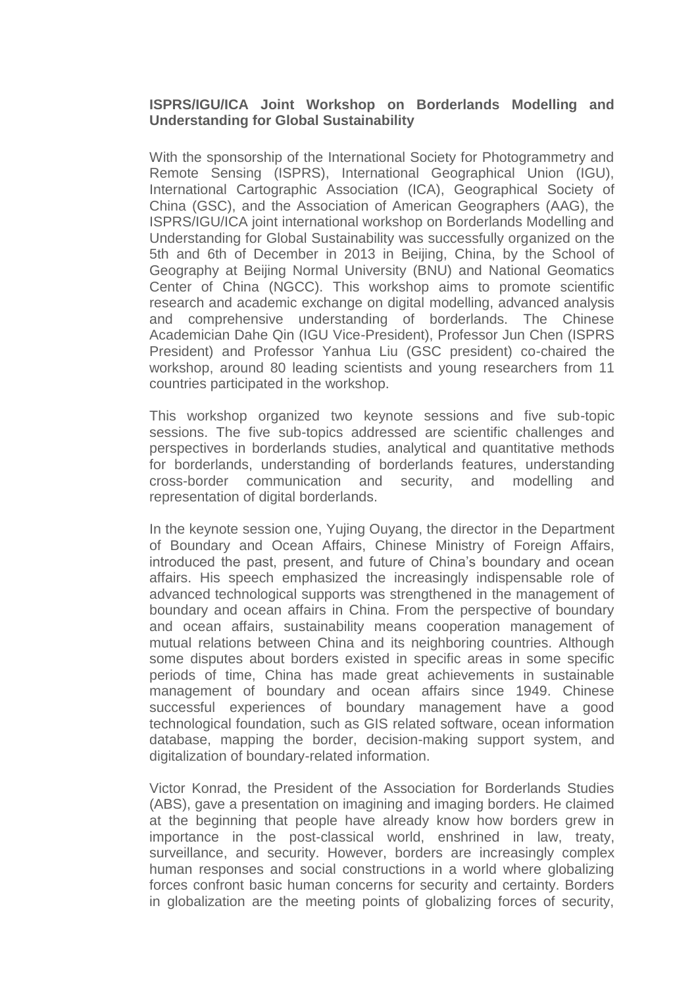## **ISPRS/IGU/ICA Joint Workshop on Borderlands Modelling and Understanding for Global Sustainability**

With the sponsorship of the International Society for Photogrammetry and Remote Sensing (ISPRS), International Geographical Union (IGU), International Cartographic Association (ICA), Geographical Society of China (GSC), and the Association of American Geographers (AAG), the ISPRS/IGU/ICA joint international workshop on Borderlands Modelling and Understanding for Global Sustainability was successfully organized on the 5th and 6th of December in 2013 in Beijing, China, by the School of Geography at Beijing Normal University (BNU) and National Geomatics Center of China (NGCC). This workshop aims to promote scientific research and academic exchange on digital modelling, advanced analysis and comprehensive understanding of borderlands. The Chinese Academician Dahe Qin (IGU Vice-President), Professor Jun Chen (ISPRS President) and Professor Yanhua Liu (GSC president) co-chaired the workshop, around 80 leading scientists and young researchers from 11 countries participated in the workshop.

This workshop organized two keynote sessions and five sub-topic sessions. The five sub-topics addressed are scientific challenges and perspectives in borderlands studies, analytical and quantitative methods for borderlands, understanding of borderlands features, understanding cross-border communication and security, and modelling and representation of digital borderlands.

In the keynote session one, Yujing Ouyang, the director in the Department of Boundary and Ocean Affairs, Chinese Ministry of Foreign Affairs, introduced the past, present, and future of China's boundary and ocean affairs. His speech emphasized the increasingly indispensable role of advanced technological supports was strengthened in the management of boundary and ocean affairs in China. From the perspective of boundary and ocean affairs, sustainability means cooperation management of mutual relations between China and its neighboring countries. Although some disputes about borders existed in specific areas in some specific periods of time, China has made great achievements in sustainable management of boundary and ocean affairs since 1949. Chinese successful experiences of boundary management have a good technological foundation, such as GIS related software, ocean information database, mapping the border, decision-making support system, and digitalization of boundary-related information.

Victor Konrad, the President of the Association for Borderlands Studies (ABS), gave a presentation on imagining and imaging borders. He claimed at the beginning that people have already know how borders grew in importance in the post-classical world, enshrined in law, treaty, surveillance, and security. However, borders are increasingly complex human responses and social constructions in a world where globalizing forces confront basic human concerns for security and certainty. Borders in globalization are the meeting points of globalizing forces of security,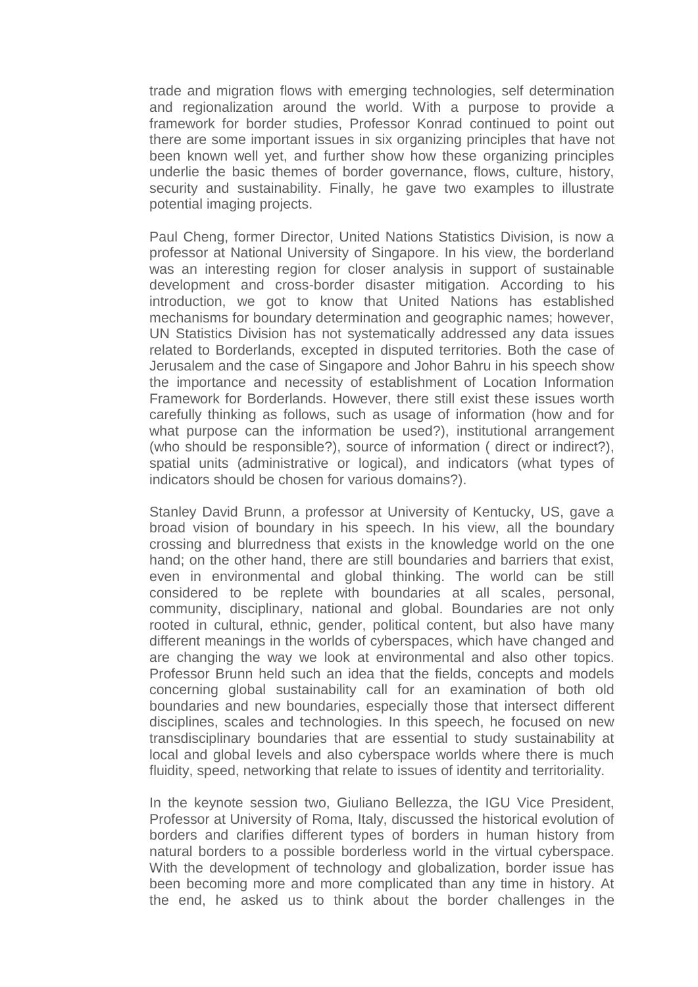trade and migration flows with emerging technologies, self determination and regionalization around the world. With a purpose to provide a framework for border studies, Professor Konrad continued to point out there are some important issues in six organizing principles that have not been known well yet, and further show how these organizing principles underlie the basic themes of border governance, flows, culture, history, security and sustainability. Finally, he gave two examples to illustrate potential imaging projects.

Paul Cheng, former Director, United Nations Statistics Division, is now a professor at National University of Singapore. In his view, the borderland was an interesting region for closer analysis in support of sustainable development and cross-border disaster mitigation. According to his introduction, we got to know that United Nations has established mechanisms for boundary determination and geographic names; however, UN Statistics Division has not systematically addressed any data issues related to Borderlands, excepted in disputed territories. Both the case of Jerusalem and the case of Singapore and Johor Bahru in his speech show the importance and necessity of establishment of Location Information Framework for Borderlands. However, there still exist these issues worth carefully thinking as follows, such as usage of information (how and for what purpose can the information be used?), institutional arrangement (who should be responsible?), source of information ( direct or indirect?), spatial units (administrative or logical), and indicators (what types of indicators should be chosen for various domains?).

Stanley David Brunn, a professor at University of Kentucky, US, gave a broad vision of boundary in his speech. In his view, all the boundary crossing and blurredness that exists in the knowledge world on the one hand; on the other hand, there are still boundaries and barriers that exist, even in environmental and global thinking. The world can be still considered to be replete with boundaries at all scales, personal, community, disciplinary, national and global. Boundaries are not only rooted in cultural, ethnic, gender, political content, but also have many different meanings in the worlds of cyberspaces, which have changed and are changing the way we look at environmental and also other topics. Professor Brunn held such an idea that the fields, concepts and models concerning global sustainability call for an examination of both old boundaries and new boundaries, especially those that intersect different disciplines, scales and technologies. In this speech, he focused on new transdisciplinary boundaries that are essential to study sustainability at local and global levels and also cyberspace worlds where there is much fluidity, speed, networking that relate to issues of identity and territoriality.

In the keynote session two, Giuliano Bellezza, the IGU Vice President, Professor at University of Roma, Italy, discussed the historical evolution of borders and clarifies different types of borders in human history from natural borders to a possible borderless world in the virtual cyberspace. With the development of technology and globalization, border issue has been becoming more and more complicated than any time in history. At the end, he asked us to think about the border challenges in the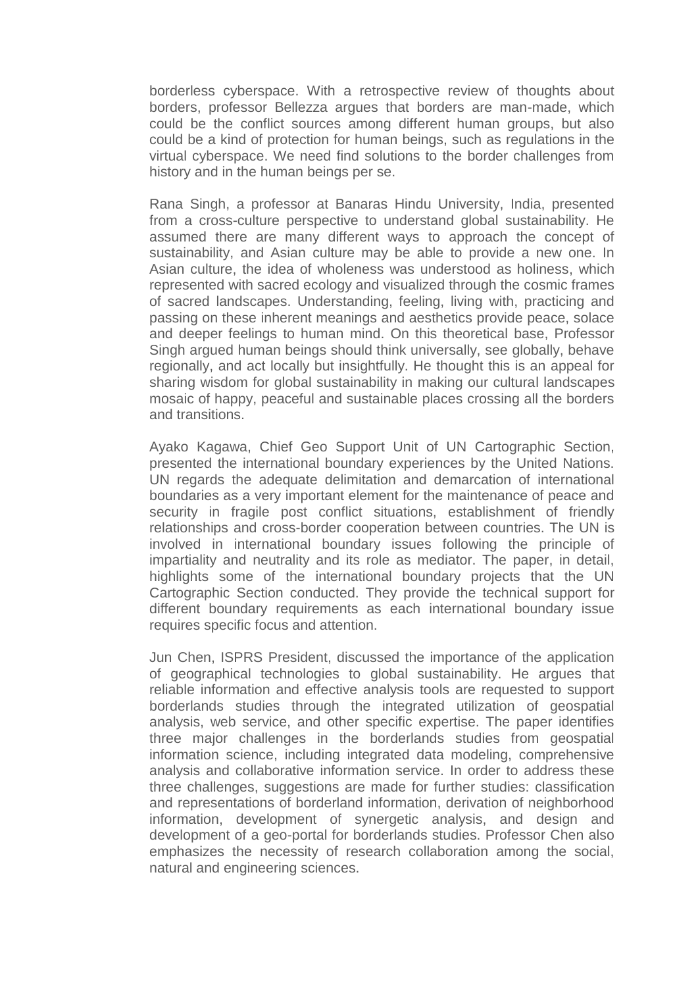borderless cyberspace. With a retrospective review of thoughts about borders, professor Bellezza argues that borders are man-made, which could be the conflict sources among different human groups, but also could be a kind of protection for human beings, such as regulations in the virtual cyberspace. We need find solutions to the border challenges from history and in the human beings per se.

Rana Singh, a professor at Banaras Hindu University, India, presented from a cross-culture perspective to understand global sustainability. He assumed there are many different ways to approach the concept of sustainability, and Asian culture may be able to provide a new one. In Asian culture, the idea of wholeness was understood as holiness, which represented with sacred ecology and visualized through the cosmic frames of sacred landscapes. Understanding, feeling, living with, practicing and passing on these inherent meanings and aesthetics provide peace, solace and deeper feelings to human mind. On this theoretical base, Professor Singh argued human beings should think universally, see globally, behave regionally, and act locally but insightfully. He thought this is an appeal for sharing wisdom for global sustainability in making our cultural landscapes mosaic of happy, peaceful and sustainable places crossing all the borders and transitions.

Ayako Kagawa, Chief Geo Support Unit of UN Cartographic Section, presented the international boundary experiences by the United Nations. UN regards the adequate delimitation and demarcation of international boundaries as a very important element for the maintenance of peace and security in fragile post conflict situations, establishment of friendly relationships and cross-border cooperation between countries. The UN is involved in international boundary issues following the principle of impartiality and neutrality and its role as mediator. The paper, in detail, highlights some of the international boundary projects that the UN Cartographic Section conducted. They provide the technical support for different boundary requirements as each international boundary issue requires specific focus and attention.

Jun Chen, ISPRS President, discussed the importance of the application of geographical technologies to global sustainability. He argues that reliable information and effective analysis tools are requested to support borderlands studies through the integrated utilization of geospatial analysis, web service, and other specific expertise. The paper identifies three major challenges in the borderlands studies from geospatial information science, including integrated data modeling, comprehensive analysis and collaborative information service. In order to address these three challenges, suggestions are made for further studies: classification and representations of borderland information, derivation of neighborhood information, development of synergetic analysis, and design and development of a geo-portal for borderlands studies. Professor Chen also emphasizes the necessity of research collaboration among the social, natural and engineering sciences.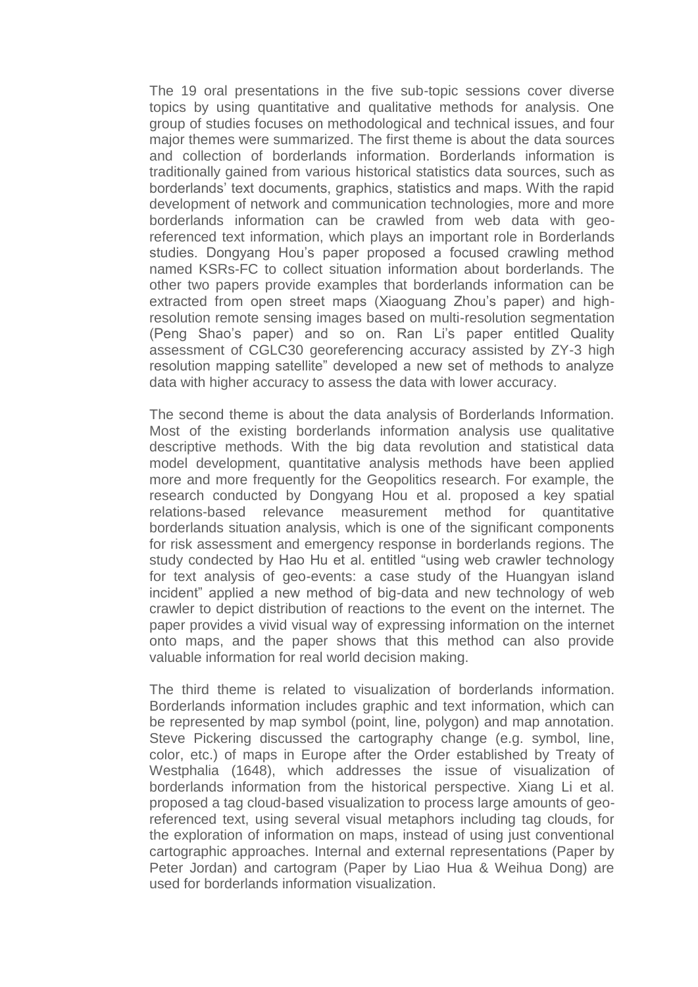The 19 oral presentations in the five sub-topic sessions cover diverse topics by using quantitative and qualitative methods for analysis. One group of studies focuses on methodological and technical issues, and four major themes were summarized. The first theme is about the data sources and collection of borderlands information. Borderlands information is traditionally gained from various historical statistics data sources, such as borderlands' text documents, graphics, statistics and maps. With the rapid development of network and communication technologies, more and more borderlands information can be crawled from web data with georeferenced text information, which plays an important role in Borderlands studies. Dongyang Hou's paper proposed a focused crawling method named KSRs-FC to collect situation information about borderlands. The other two papers provide examples that borderlands information can be extracted from open street maps (Xiaoguang Zhou's paper) and highresolution remote sensing images based on multi-resolution segmentation (Peng Shao's paper) and so on. Ran Li's paper entitled Quality assessment of CGLC30 georeferencing accuracy assisted by ZY-3 high resolution mapping satellite" developed a new set of methods to analyze data with higher accuracy to assess the data with lower accuracy.

The second theme is about the data analysis of Borderlands Information. Most of the existing borderlands information analysis use qualitative descriptive methods. With the big data revolution and statistical data model development, quantitative analysis methods have been applied more and more frequently for the Geopolitics research. For example, the research conducted by Dongyang Hou et al. proposed a key spatial relations-based relevance measurement method for quantitative borderlands situation analysis, which is one of the significant components for risk assessment and emergency response in borderlands regions. The study condected by Hao Hu et al. entitled "using web crawler technology for text analysis of geo-events: a case study of the Huangyan island incident" applied a new method of big-data and new technology of web crawler to depict distribution of reactions to the event on the internet. The paper provides a vivid visual way of expressing information on the internet onto maps, and the paper shows that this method can also provide valuable information for real world decision making.

The third theme is related to visualization of borderlands information. Borderlands information includes graphic and text information, which can be represented by map symbol (point, line, polygon) and map annotation. Steve Pickering discussed the cartography change (e.g. symbol, line, color, etc.) of maps in Europe after the Order established by Treaty of Westphalia (1648), which addresses the issue of visualization of borderlands information from the historical perspective. Xiang Li et al. proposed a tag cloud-based visualization to process large amounts of georeferenced text, using several visual metaphors including tag clouds, for the exploration of information on maps, instead of using just conventional cartographic approaches. Internal and external representations (Paper by Peter Jordan) and cartogram (Paper by Liao Hua & Weihua Dong) are used for borderlands information visualization.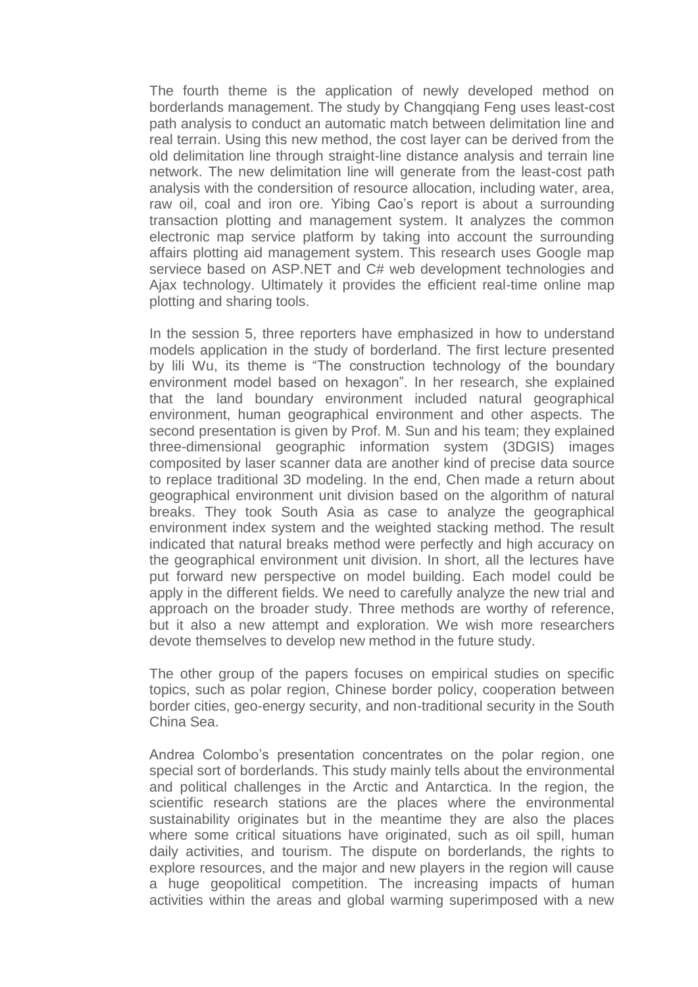The fourth theme is the application of newly developed method on borderlands management. The study by Changqiang Feng uses least-cost path analysis to conduct an automatic match between delimitation line and real terrain. Using this new method, the cost layer can be derived from the old delimitation line through straight-line distance analysis and terrain line network. The new delimitation line will generate from the least-cost path analysis with the condersition of resource allocation, including water, area, raw oil, coal and iron ore. Yibing Cao's report is about a surrounding transaction plotting and management system. It analyzes the common electronic map service platform by taking into account the surrounding affairs plotting aid management system. This research uses Google map serviece based on ASP.NET and C# web development technologies and Ajax technology. Ultimately it provides the efficient real-time online map plotting and sharing tools.

In the session 5, three reporters have emphasized in how to understand models application in the study of borderland. The first lecture presented by lili Wu, its theme is "The construction technology of the boundary environment model based on hexagon". In her research, she explained that the land boundary environment included natural geographical environment, human geographical environment and other aspects. The second presentation is given by Prof. M. Sun and his team; they explained three-dimensional geographic information system (3DGIS) images composited by laser scanner data are another kind of precise data source to replace traditional 3D modeling. In the end, Chen made a return about geographical environment unit division based on the algorithm of natural breaks. They took South Asia as case to analyze the geographical environment index system and the weighted stacking method. The result indicated that natural breaks method were perfectly and high accuracy on the geographical environment unit division. In short, all the lectures have put forward new perspective on model building. Each model could be apply in the different fields. We need to carefully analyze the new trial and approach on the broader study. Three methods are worthy of reference, but it also a new attempt and exploration. We wish more researchers devote themselves to develop new method in the future study.

The other group of the papers focuses on empirical studies on specific topics, such as polar region, Chinese border policy, cooperation between border cities, geo-energy security, and non-traditional security in the South China Sea.

Andrea Colombo's presentation concentrates on the polar region, one special sort of borderlands. This study mainly tells about the environmental and political challenges in the Arctic and Antarctica. In the region, the scientific research stations are the places where the environmental sustainability originates but in the meantime they are also the places where some critical situations have originated, such as oil spill, human daily activities, and tourism. The dispute on borderlands, the rights to explore resources, and the major and new players in the region will cause a huge geopolitical competition. The increasing impacts of human activities within the areas and global warming superimposed with a new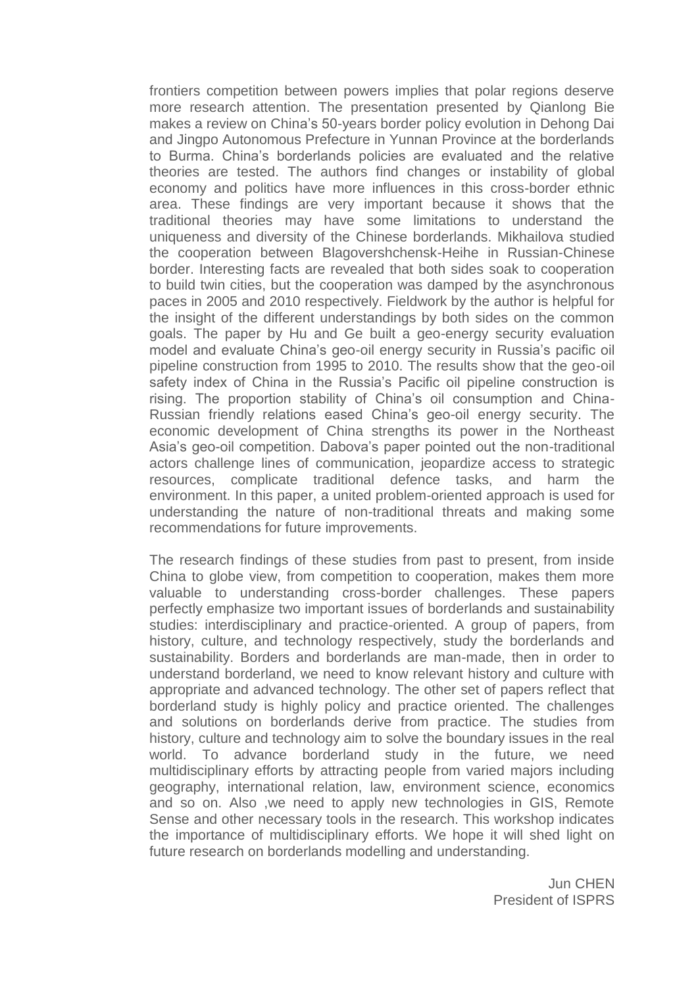frontiers competition between powers implies that polar regions deserve more research attention. The presentation presented by Qianlong Bie makes a review on China's 50-years border policy evolution in Dehong Dai and Jingpo Autonomous Prefecture in Yunnan Province at the borderlands to Burma. China's borderlands policies are evaluated and the relative theories are tested. The authors find changes or instability of global economy and politics have more influences in this cross-border ethnic area. These findings are very important because it shows that the traditional theories may have some limitations to understand the uniqueness and diversity of the Chinese borderlands. Mikhailova studied the cooperation between Blagovershchensk-Heihe in Russian-Chinese border. Interesting facts are revealed that both sides soak to cooperation to build twin cities, but the cooperation was damped by the asynchronous paces in 2005 and 2010 respectively. Fieldwork by the author is helpful for the insight of the different understandings by both sides on the common goals. The paper by Hu and Ge built a geo-energy security evaluation model and evaluate China's geo-oil energy security in Russia's pacific oil pipeline construction from 1995 to 2010. The results show that the geo-oil safety index of China in the Russia's Pacific oil pipeline construction is rising. The proportion stability of China's oil consumption and China-Russian friendly relations eased China's geo-oil energy security. The economic development of China strengths its power in the Northeast Asia's geo-oil competition. Dabova's paper pointed out the non-traditional actors challenge lines of communication, jeopardize access to strategic resources, complicate traditional defence tasks, and harm the environment. In this paper, a united problem-oriented approach is used for understanding the nature of non-traditional threats and making some recommendations for future improvements.

The research findings of these studies from past to present, from inside China to globe view, from competition to cooperation, makes them more valuable to understanding cross-border challenges. These papers perfectly emphasize two important issues of borderlands and sustainability studies: interdisciplinary and practice-oriented. A group of papers, from history, culture, and technology respectively, study the borderlands and sustainability. Borders and borderlands are man-made, then in order to understand borderland, we need to know relevant history and culture with appropriate and advanced technology. The other set of papers reflect that borderland study is highly policy and practice oriented. The challenges and solutions on borderlands derive from practice. The studies from history, culture and technology aim to solve the boundary issues in the real world. To advance borderland study in the future, we need multidisciplinary efforts by attracting people from varied majors including geography, international relation, law, environment science, economics and so on. Also ,we need to apply new technologies in GIS, Remote Sense and other necessary tools in the research. This workshop indicates the importance of multidisciplinary efforts. We hope it will shed light on future research on borderlands modelling and understanding.